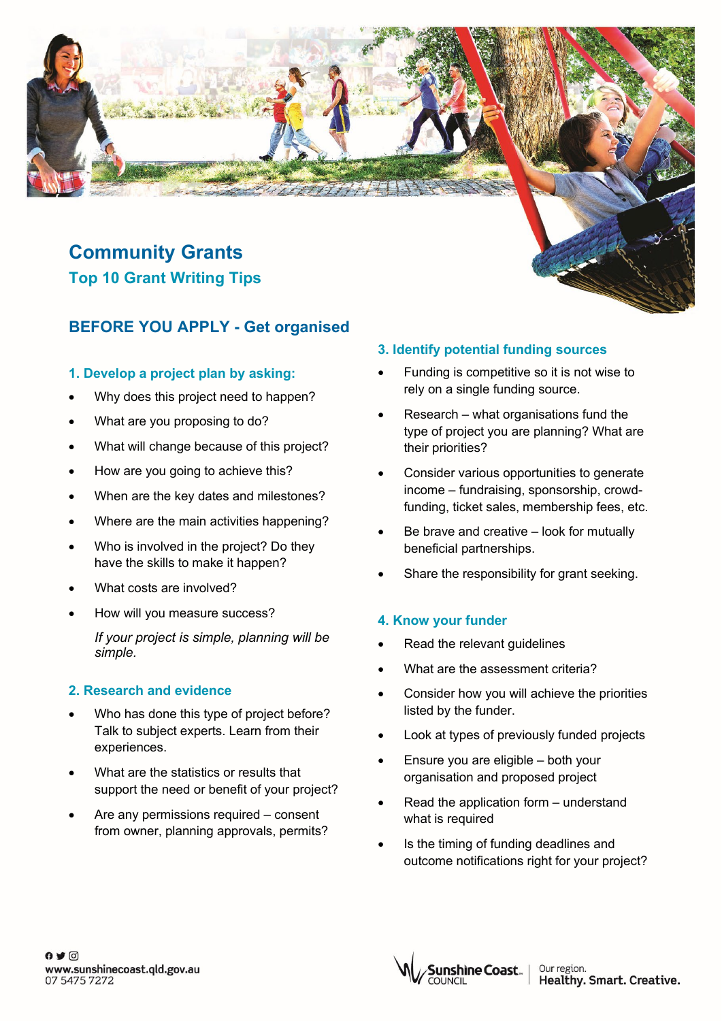# **Community Grants Top 10 Grant Writing Tips**

# **BEFORE YOU APPLY - Get organised**

# **1. Develop a project plan by asking:**

- Why does this project need to happen?
- What are you proposing to do?
- What will change because of this project?
- How are you going to achieve this?
- When are the key dates and milestones?
- Where are the main activities happening?
- Who is involved in the project? Do they have the skills to make it happen?
- What costs are involved?
- How will you measure success?

*If your project is simple, planning will be simple.*

# **2. Research and evidence**

- Who has done this type of project before? Talk to subject experts. Learn from their experiences.
- What are the statistics or results that support the need or benefit of your project?
- Are any permissions required consent from owner, planning approvals, permits?

### **3. Identify potential funding sources**

- Funding is competitive so it is not wise to rely on a single funding source.
- $Research what$  organisations fund the type of project you are planning? What are their priorities?
- Consider various opportunities to generate income – fundraising, sponsorship, crowdfunding, ticket sales, membership fees, etc.
- Be brave and creative look for mutually beneficial partnerships.
- Share the responsibility for grant seeking.

# **4. Know your funder**

- Read the relevant guidelines
- What are the assessment criteria?
- Consider how you will achieve the priorities listed by the funder.
- Look at types of previously funded projects
- Ensure you are eligible both your organisation and proposed project
- Read the application form understand what is required
- Is the timing of funding deadlines and outcome notifications right for your project?